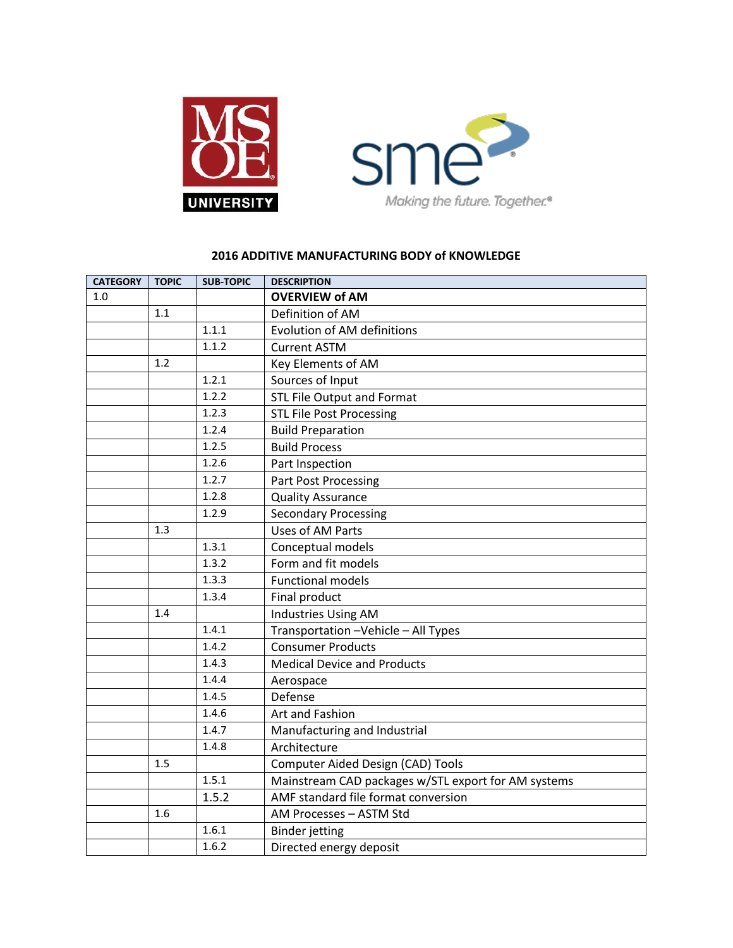

## **2016 ADDITIVE MANUFACTURING BODY of KNOWLEDGE**

| <b>CATEGORY</b> | <b>TOPIC</b> | <b>SUB-TOPIC</b> | <b>DESCRIPTION</b>                                  |
|-----------------|--------------|------------------|-----------------------------------------------------|
| 1.0             |              |                  | <b>OVERVIEW of AM</b>                               |
|                 | 1.1          |                  | Definition of AM                                    |
|                 |              | 1.1.1            | <b>Evolution of AM definitions</b>                  |
|                 |              | 1.1.2            | <b>Current ASTM</b>                                 |
|                 | 1.2          |                  | Key Elements of AM                                  |
|                 |              | 1.2.1            | Sources of Input                                    |
|                 |              | 1.2.2            | <b>STL File Output and Format</b>                   |
|                 |              | 1.2.3            | <b>STL File Post Processing</b>                     |
|                 |              | 1.2.4            | <b>Build Preparation</b>                            |
|                 |              | 1.2.5            | <b>Build Process</b>                                |
|                 |              | 1.2.6            | Part Inspection                                     |
|                 |              | 1.2.7            | Part Post Processing                                |
|                 |              | 1.2.8            | <b>Quality Assurance</b>                            |
|                 |              | 1.2.9            | <b>Secondary Processing</b>                         |
|                 | 1.3          |                  | <b>Uses of AM Parts</b>                             |
|                 |              | 1.3.1            | Conceptual models                                   |
|                 |              | 1.3.2            | Form and fit models                                 |
|                 |              | 1.3.3            | <b>Functional models</b>                            |
|                 |              | 1.3.4            | Final product                                       |
|                 | 1.4          |                  | <b>Industries Using AM</b>                          |
|                 |              | 1.4.1            | Transportation - Vehicle - All Types                |
|                 |              | 1.4.2            | <b>Consumer Products</b>                            |
|                 |              | 1.4.3            | <b>Medical Device and Products</b>                  |
|                 |              | 1.4.4            | Aerospace                                           |
|                 |              | 1.4.5            | Defense                                             |
|                 |              | 1.4.6            | Art and Fashion                                     |
|                 |              | 1.4.7            | Manufacturing and Industrial                        |
|                 |              | 1.4.8            | Architecture                                        |
|                 | 1.5          |                  | Computer Aided Design (CAD) Tools                   |
|                 |              | 1.5.1            | Mainstream CAD packages w/STL export for AM systems |
|                 |              | 1.5.2            | AMF standard file format conversion                 |
|                 | 1.6          |                  | AM Processes - ASTM Std                             |
|                 |              | 1.6.1            | <b>Binder jetting</b>                               |
|                 |              | 1.6.2            | Directed energy deposit                             |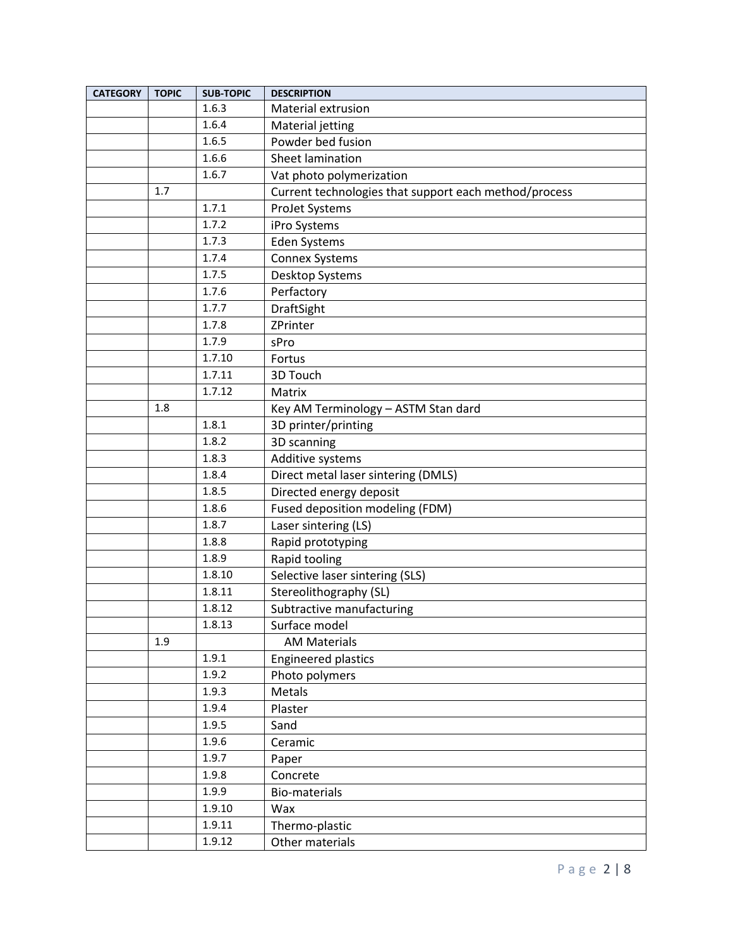| <b>CATEGORY</b> | <b>TOPIC</b> | <b>SUB-TOPIC</b> | <b>DESCRIPTION</b>                                    |
|-----------------|--------------|------------------|-------------------------------------------------------|
|                 |              | 1.6.3            | Material extrusion                                    |
|                 |              | 1.6.4            | <b>Material jetting</b>                               |
|                 |              | 1.6.5            | Powder bed fusion                                     |
|                 |              | 1.6.6            | Sheet lamination                                      |
|                 |              | 1.6.7            | Vat photo polymerization                              |
|                 | 1.7          |                  | Current technologies that support each method/process |
|                 |              | 1.7.1            | <b>ProJet Systems</b>                                 |
|                 |              | 1.7.2            | iPro Systems                                          |
|                 |              | 1.7.3            | <b>Eden Systems</b>                                   |
|                 |              | 1.7.4            | <b>Connex Systems</b>                                 |
|                 |              | 1.7.5            | Desktop Systems                                       |
|                 |              | 1.7.6            | Perfactory                                            |
|                 |              | 1.7.7            | DraftSight                                            |
|                 |              | 1.7.8            | ZPrinter                                              |
|                 |              | 1.7.9            | sPro                                                  |
|                 |              | 1.7.10           | Fortus                                                |
|                 |              | 1.7.11           | 3D Touch                                              |
|                 |              | 1.7.12           | Matrix                                                |
|                 | 1.8          |                  | Key AM Terminology - ASTM Stan dard                   |
|                 |              | 1.8.1            | 3D printer/printing                                   |
|                 |              | 1.8.2            | 3D scanning                                           |
|                 |              | 1.8.3            | Additive systems                                      |
|                 |              | 1.8.4            | Direct metal laser sintering (DMLS)                   |
|                 |              | 1.8.5            | Directed energy deposit                               |
|                 |              | 1.8.6            | Fused deposition modeling (FDM)                       |
|                 |              | 1.8.7            | Laser sintering (LS)                                  |
|                 |              | 1.8.8            | Rapid prototyping                                     |
|                 |              | 1.8.9            | Rapid tooling                                         |
|                 |              | 1.8.10           | Selective laser sintering (SLS)                       |
|                 |              | 1.8.11           | Stereolithography (SL)                                |
|                 |              | 1.8.12           | Subtractive manufacturing                             |
|                 |              | 1.8.13           | Surface model                                         |
|                 | 1.9          |                  | <b>AM Materials</b>                                   |
|                 |              | 1.9.1            | <b>Engineered plastics</b>                            |
|                 |              | 1.9.2            | Photo polymers                                        |
|                 |              | 1.9.3            | Metals                                                |
|                 |              | 1.9.4            | Plaster                                               |
|                 |              | 1.9.5            | Sand                                                  |
|                 |              | 1.9.6            | Ceramic                                               |
|                 |              | 1.9.7            | Paper                                                 |
|                 |              | 1.9.8            | Concrete                                              |
|                 |              | 1.9.9            | Bio-materials                                         |
|                 |              | 1.9.10           | Wax                                                   |
|                 |              | 1.9.11           | Thermo-plastic                                        |
|                 |              | 1.9.12           | Other materials                                       |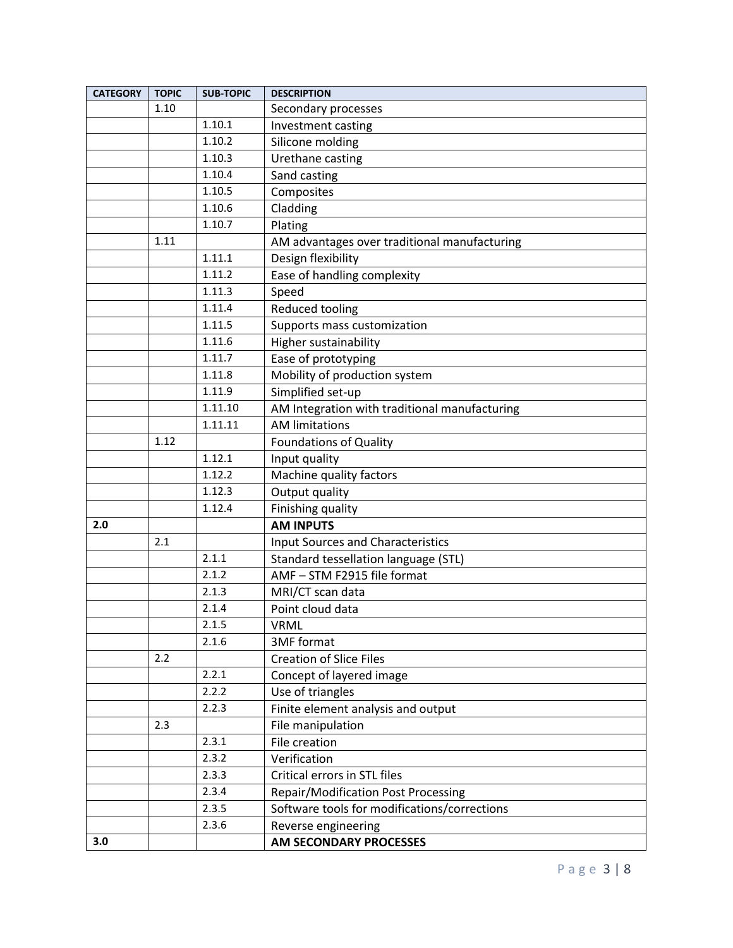| <b>CATEGORY</b> | <b>TOPIC</b> | <b>SUB-TOPIC</b> | <b>DESCRIPTION</b>                            |
|-----------------|--------------|------------------|-----------------------------------------------|
|                 | 1.10         |                  | Secondary processes                           |
|                 |              | 1.10.1           | Investment casting                            |
|                 |              | 1.10.2           | Silicone molding                              |
|                 |              | 1.10.3           | Urethane casting                              |
|                 |              | 1.10.4           | Sand casting                                  |
|                 |              | 1.10.5           | Composites                                    |
|                 |              | 1.10.6           | Cladding                                      |
|                 |              | 1.10.7           | Plating                                       |
|                 | 1.11         |                  | AM advantages over traditional manufacturing  |
|                 |              | 1.11.1           | Design flexibility                            |
|                 |              | 1.11.2           | Ease of handling complexity                   |
|                 |              | 1.11.3           | Speed                                         |
|                 |              | 1.11.4           | Reduced tooling                               |
|                 |              | 1.11.5           | Supports mass customization                   |
|                 |              | 1.11.6           | Higher sustainability                         |
|                 |              | 1.11.7           | Ease of prototyping                           |
|                 |              | 1.11.8           | Mobility of production system                 |
|                 |              | 1.11.9           | Simplified set-up                             |
|                 |              | 1.11.10          | AM Integration with traditional manufacturing |
|                 |              | 1.11.11          | <b>AM limitations</b>                         |
|                 | 1.12         |                  | <b>Foundations of Quality</b>                 |
|                 |              | 1.12.1           | Input quality                                 |
|                 |              | 1.12.2           | Machine quality factors                       |
|                 |              | 1.12.3           | Output quality                                |
|                 |              | 1.12.4           | Finishing quality                             |
| 2.0             |              |                  | <b>AM INPUTS</b>                              |
|                 | 2.1          |                  | <b>Input Sources and Characteristics</b>      |
|                 |              | 2.1.1            | Standard tessellation language (STL)          |
|                 |              | 2.1.2            | AMF - STM F2915 file format                   |
|                 |              | 2.1.3            | MRI/CT scan data                              |
|                 |              | 2.1.4            | Point cloud data                              |
|                 |              | 2.1.5            | <b>VRML</b>                                   |
|                 |              | 2.1.6            | 3MF format                                    |
|                 | 2.2          |                  | <b>Creation of Slice Files</b>                |
|                 |              | 2.2.1            | Concept of layered image                      |
|                 |              | 2.2.2            | Use of triangles                              |
|                 |              | 2.2.3            | Finite element analysis and output            |
|                 | 2.3          |                  | File manipulation                             |
|                 |              | 2.3.1            | File creation                                 |
|                 |              | 2.3.2            | Verification                                  |
|                 |              | 2.3.3            | Critical errors in STL files                  |
|                 |              | 2.3.4            | Repair/Modification Post Processing           |
|                 |              | 2.3.5            | Software tools for modifications/corrections  |
|                 |              | 2.3.6            | Reverse engineering                           |
| 3.0             |              |                  | <b>AM SECONDARY PROCESSES</b>                 |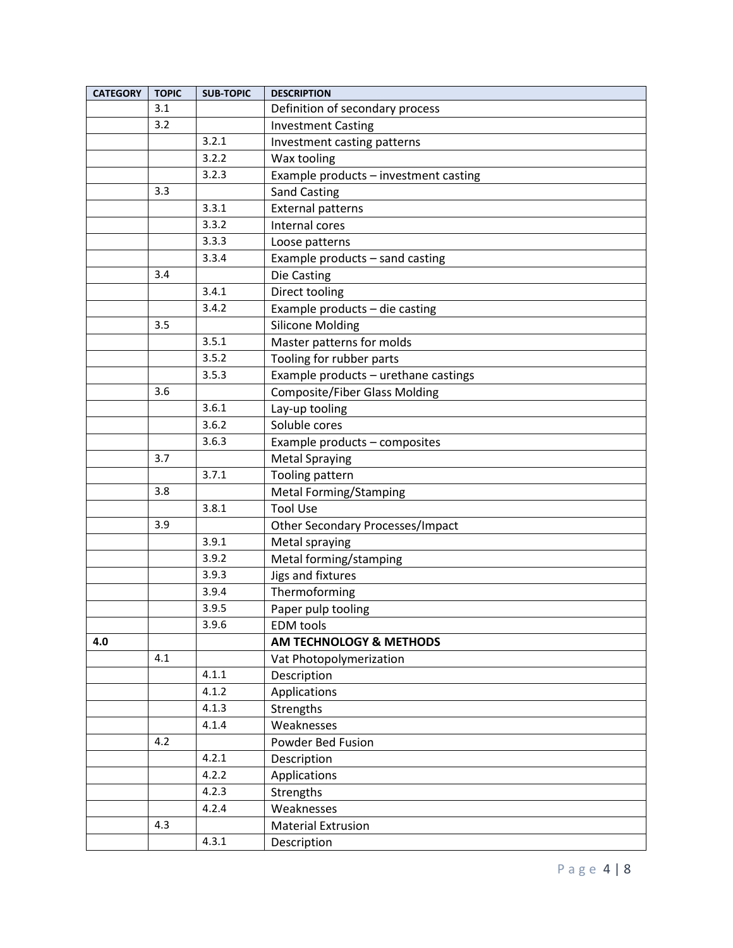| <b>CATEGORY</b> | <b>TOPIC</b> | <b>SUB-TOPIC</b> | <b>DESCRIPTION</b>                      |
|-----------------|--------------|------------------|-----------------------------------------|
|                 | 3.1          |                  | Definition of secondary process         |
|                 | 3.2          |                  | <b>Investment Casting</b>               |
|                 |              | 3.2.1            | Investment casting patterns             |
|                 |              | 3.2.2            | Wax tooling                             |
|                 |              | 3.2.3            | Example products - investment casting   |
|                 | 3.3          |                  | <b>Sand Casting</b>                     |
|                 |              | 3.3.1            | <b>External patterns</b>                |
|                 |              | 3.3.2            | Internal cores                          |
|                 |              | 3.3.3            | Loose patterns                          |
|                 |              | 3.3.4            | Example products - sand casting         |
|                 | 3.4          |                  | Die Casting                             |
|                 |              | 3.4.1            | Direct tooling                          |
|                 |              | 3.4.2            | Example products - die casting          |
|                 | 3.5          |                  | <b>Silicone Molding</b>                 |
|                 |              | 3.5.1            | Master patterns for molds               |
|                 |              | 3.5.2            | Tooling for rubber parts                |
|                 |              | 3.5.3            | Example products - urethane castings    |
|                 | 3.6          |                  | <b>Composite/Fiber Glass Molding</b>    |
|                 |              | 3.6.1            | Lay-up tooling                          |
|                 |              | 3.6.2            | Soluble cores                           |
|                 |              | 3.6.3            | Example products - composites           |
|                 | 3.7          |                  | <b>Metal Spraying</b>                   |
|                 |              | 3.7.1            | Tooling pattern                         |
|                 | 3.8          |                  | <b>Metal Forming/Stamping</b>           |
|                 |              | 3.8.1            | <b>Tool Use</b>                         |
|                 | 3.9          |                  | <b>Other Secondary Processes/Impact</b> |
|                 |              | 3.9.1            | Metal spraying                          |
|                 |              | 3.9.2            | Metal forming/stamping                  |
|                 |              | 3.9.3            | Jigs and fixtures                       |
|                 |              | 3.9.4            | Thermoforming                           |
|                 |              | 3.9.5            | Paper pulp tooling                      |
|                 |              | 3.9.6            | <b>EDM</b> tools                        |
| 4.0             |              |                  | <b>AM TECHNOLOGY &amp; METHODS</b>      |
|                 | 4.1          |                  | Vat Photopolymerization                 |
|                 |              | 4.1.1            | Description                             |
|                 |              | 4.1.2            | Applications                            |
|                 |              | 4.1.3            | Strengths                               |
|                 |              | 4.1.4            | Weaknesses                              |
|                 | 4.2          |                  | Powder Bed Fusion                       |
|                 |              | 4.2.1            | Description                             |
|                 |              | 4.2.2            | Applications                            |
|                 |              | 4.2.3            | Strengths                               |
|                 |              | 4.2.4            | Weaknesses                              |
|                 | 4.3          |                  | <b>Material Extrusion</b>               |
|                 |              | 4.3.1            | Description                             |
|                 |              |                  |                                         |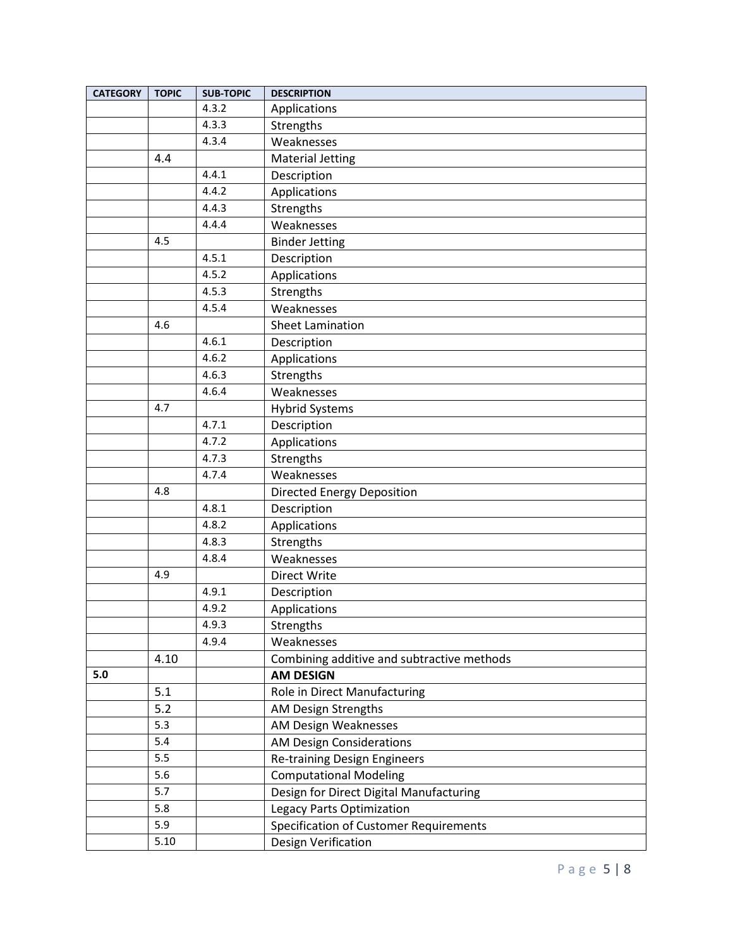| <b>CATEGORY</b> | <b>TOPIC</b> | <b>SUB-TOPIC</b> | <b>DESCRIPTION</b>                         |
|-----------------|--------------|------------------|--------------------------------------------|
|                 |              | 4.3.2            | Applications                               |
|                 |              | 4.3.3            | Strengths                                  |
|                 |              | 4.3.4            | Weaknesses                                 |
|                 | 4.4          |                  | <b>Material Jetting</b>                    |
|                 |              | 4.4.1            | Description                                |
|                 |              | 4.4.2            | Applications                               |
|                 |              | 4.4.3            | Strengths                                  |
|                 |              | 4.4.4            | Weaknesses                                 |
|                 | 4.5          |                  | <b>Binder Jetting</b>                      |
|                 |              | 4.5.1            | Description                                |
|                 |              | 4.5.2            | Applications                               |
|                 |              | 4.5.3            | Strengths                                  |
|                 |              | 4.5.4            | Weaknesses                                 |
|                 | 4.6          |                  | <b>Sheet Lamination</b>                    |
|                 |              | 4.6.1            | Description                                |
|                 |              | 4.6.2            | Applications                               |
|                 |              | 4.6.3            | Strengths                                  |
|                 |              | 4.6.4            | Weaknesses                                 |
|                 | 4.7          |                  | <b>Hybrid Systems</b>                      |
|                 |              | 4.7.1            | Description                                |
|                 |              | 4.7.2            | Applications                               |
|                 |              | 4.7.3            | Strengths                                  |
|                 |              | 4.7.4            | Weaknesses                                 |
|                 | 4.8          |                  | <b>Directed Energy Deposition</b>          |
|                 |              | 4.8.1            | Description                                |
|                 |              | 4.8.2            | Applications                               |
|                 |              | 4.8.3            | Strengths                                  |
|                 |              | 4.8.4            | Weaknesses                                 |
|                 | 4.9          |                  | Direct Write                               |
|                 |              | 4.9.1            | Description                                |
|                 |              | 4.9.2            | Applications                               |
|                 |              | 4.9.3            | Strengths                                  |
|                 |              | 4.9.4            | Weaknesses                                 |
|                 | 4.10         |                  | Combining additive and subtractive methods |
| 5.0             |              |                  | <b>AM DESIGN</b>                           |
|                 | 5.1          |                  | Role in Direct Manufacturing               |
|                 | 5.2          |                  | AM Design Strengths                        |
|                 | 5.3          |                  | AM Design Weaknesses                       |
|                 | 5.4          |                  | <b>AM Design Considerations</b>            |
|                 | 5.5          |                  | <b>Re-training Design Engineers</b>        |
|                 | 5.6          |                  | <b>Computational Modeling</b>              |
|                 | 5.7          |                  | Design for Direct Digital Manufacturing    |
|                 | 5.8          |                  | Legacy Parts Optimization                  |
|                 | 5.9          |                  | Specification of Customer Requirements     |
|                 | 5.10         |                  | Design Verification                        |
|                 |              |                  |                                            |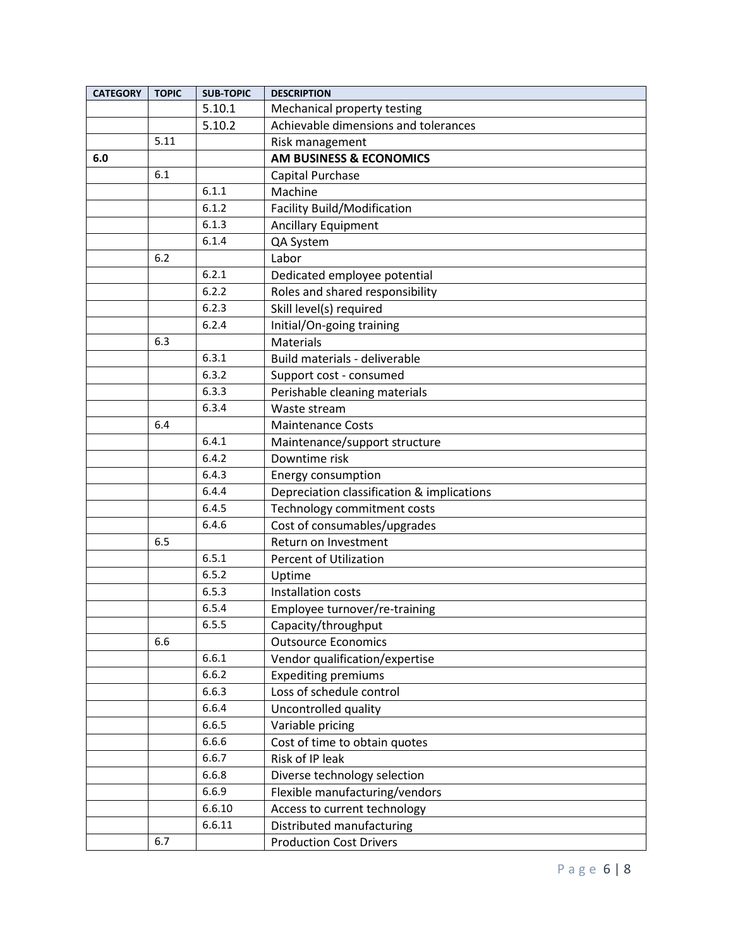| <b>CATEGORY</b> | <b>TOPIC</b> | <b>SUB-TOPIC</b> | <b>DESCRIPTION</b>                         |
|-----------------|--------------|------------------|--------------------------------------------|
|                 |              | 5.10.1           | Mechanical property testing                |
|                 |              | 5.10.2           | Achievable dimensions and tolerances       |
|                 | 5.11         |                  | Risk management                            |
| 6.0             |              |                  | <b>AM BUSINESS &amp; ECONOMICS</b>         |
|                 | 6.1          |                  | Capital Purchase                           |
|                 |              | 6.1.1            | Machine                                    |
|                 |              | 6.1.2            | <b>Facility Build/Modification</b>         |
|                 |              | 6.1.3            | <b>Ancillary Equipment</b>                 |
|                 |              | 6.1.4            | QA System                                  |
|                 | 6.2          |                  | Labor                                      |
|                 |              | 6.2.1            | Dedicated employee potential               |
|                 |              | 6.2.2            | Roles and shared responsibility            |
|                 |              | 6.2.3            | Skill level(s) required                    |
|                 |              | 6.2.4            | Initial/On-going training                  |
|                 | 6.3          |                  | <b>Materials</b>                           |
|                 |              | 6.3.1            | Build materials - deliverable              |
|                 |              | 6.3.2            | Support cost - consumed                    |
|                 |              | 6.3.3            | Perishable cleaning materials              |
|                 |              | 6.3.4            | Waste stream                               |
|                 | 6.4          |                  | <b>Maintenance Costs</b>                   |
|                 |              | 6.4.1            | Maintenance/support structure              |
|                 |              | 6.4.2            | Downtime risk                              |
|                 |              | 6.4.3            | Energy consumption                         |
|                 |              | 6.4.4            | Depreciation classification & implications |
|                 |              | 6.4.5            | Technology commitment costs                |
|                 |              | 6.4.6            | Cost of consumables/upgrades               |
|                 | 6.5          |                  | Return on Investment                       |
|                 |              | 6.5.1            | <b>Percent of Utilization</b>              |
|                 |              | 6.5.2            | Uptime                                     |
|                 |              | 6.5.3            | <b>Installation costs</b>                  |
|                 |              | 6.5.4            | Employee turnover/re-training              |
|                 |              | 6.5.5            | Capacity/throughput                        |
|                 | 6.6          |                  | <b>Outsource Economics</b>                 |
|                 |              | 6.6.1            | Vendor qualification/expertise             |
|                 |              | 6.6.2            | <b>Expediting premiums</b>                 |
|                 |              | 6.6.3            | Loss of schedule control                   |
|                 |              | 6.6.4            | Uncontrolled quality                       |
|                 |              | 6.6.5            | Variable pricing                           |
|                 |              | 6.6.6            | Cost of time to obtain quotes              |
|                 |              | 6.6.7            | Risk of IP leak                            |
|                 |              | 6.6.8            | Diverse technology selection               |
|                 |              | 6.6.9            | Flexible manufacturing/vendors             |
|                 |              | 6.6.10           | Access to current technology               |
|                 |              | 6.6.11           | Distributed manufacturing                  |
|                 | 6.7          |                  | <b>Production Cost Drivers</b>             |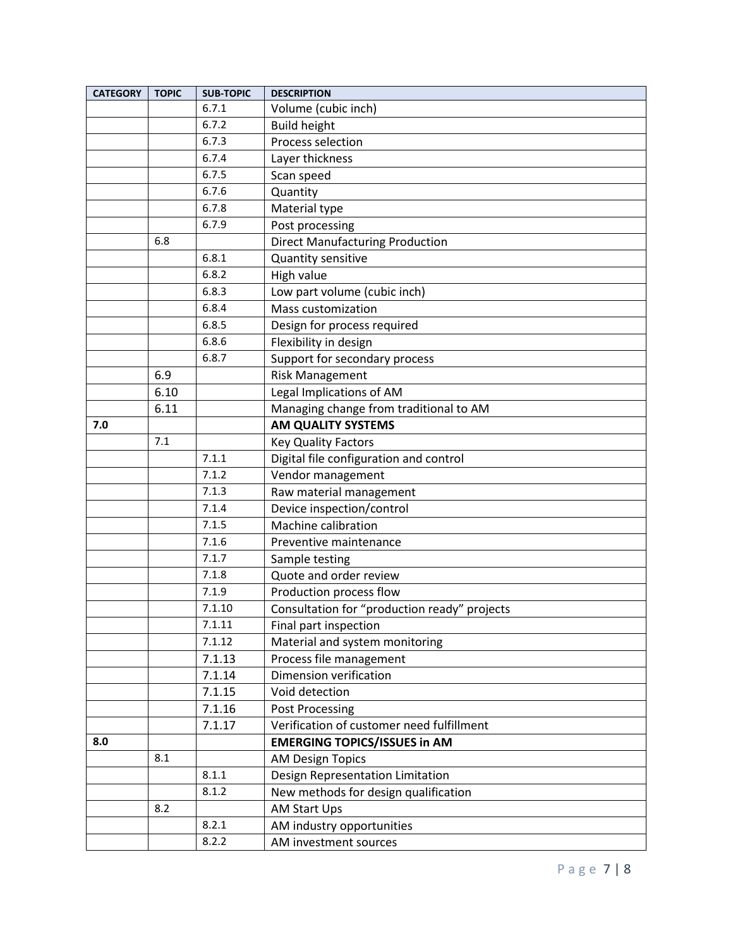| <b>CATEGORY</b> | <b>TOPIC</b> | <b>SUB-TOPIC</b> | <b>DESCRIPTION</b>                           |
|-----------------|--------------|------------------|----------------------------------------------|
|                 |              | 6.7.1            | Volume (cubic inch)                          |
|                 |              | 6.7.2            | <b>Build height</b>                          |
|                 |              | 6.7.3            | Process selection                            |
|                 |              | 6.7.4            | Layer thickness                              |
|                 |              | 6.7.5            | Scan speed                                   |
|                 |              | 6.7.6            | Quantity                                     |
|                 |              | 6.7.8            | Material type                                |
|                 |              | 6.7.9            | Post processing                              |
|                 | 6.8          |                  | <b>Direct Manufacturing Production</b>       |
|                 |              | 6.8.1            | Quantity sensitive                           |
|                 |              | 6.8.2            | High value                                   |
|                 |              | 6.8.3            | Low part volume (cubic inch)                 |
|                 |              | 6.8.4            | <b>Mass customization</b>                    |
|                 |              | 6.8.5            | Design for process required                  |
|                 |              | 6.8.6            | Flexibility in design                        |
|                 |              | 6.8.7            | Support for secondary process                |
|                 | 6.9          |                  | <b>Risk Management</b>                       |
|                 | 6.10         |                  | Legal Implications of AM                     |
|                 | 6.11         |                  | Managing change from traditional to AM       |
| 7.0             |              |                  | <b>AM QUALITY SYSTEMS</b>                    |
|                 | 7.1          |                  | <b>Key Quality Factors</b>                   |
|                 |              | 7.1.1            | Digital file configuration and control       |
|                 |              | 7.1.2            | Vendor management                            |
|                 |              | 7.1.3            | Raw material management                      |
|                 |              | 7.1.4            | Device inspection/control                    |
|                 |              | 7.1.5            | Machine calibration                          |
|                 |              | 7.1.6            | Preventive maintenance                       |
|                 |              | 7.1.7            | Sample testing                               |
|                 |              | 7.1.8            | Quote and order review                       |
|                 |              | 7.1.9            | Production process flow                      |
|                 |              | 7.1.10           | Consultation for "production ready" projects |
|                 |              | 7.1.11           | Final part inspection                        |
|                 |              | 7.1.12           | Material and system monitoring               |
|                 |              | 7.1.13           | Process file management                      |
|                 |              | 7.1.14           | Dimension verification                       |
|                 |              | 7.1.15           | Void detection                               |
|                 |              | 7.1.16           | <b>Post Processing</b>                       |
|                 |              | 7.1.17           | Verification of customer need fulfillment    |
| 8.0             |              |                  | <b>EMERGING TOPICS/ISSUES in AM</b>          |
|                 | 8.1          |                  | <b>AM Design Topics</b>                      |
|                 |              | 8.1.1            | Design Representation Limitation             |
|                 |              | 8.1.2            | New methods for design qualification         |
|                 | 8.2          |                  | <b>AM Start Ups</b>                          |
|                 |              | 8.2.1            | AM industry opportunities                    |
|                 |              | 8.2.2            | AM investment sources                        |
|                 |              |                  |                                              |